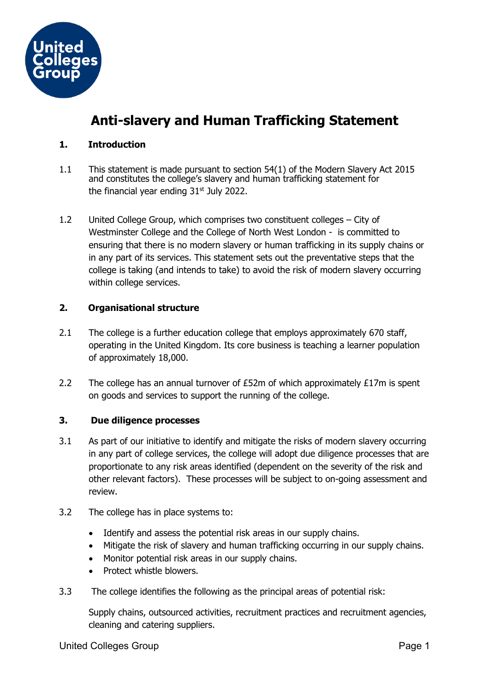

# **Anti-slavery and Human Trafficking Statement**

## **1. Introduction**

- 1.1 This statement is made pursuant to section 54(1) of the Modern Slavery Act 2015 and constitutes the college's slavery and human trafficking statement for the financial year ending  $31<sup>st</sup>$  July 2022.
- 1.2 United College Group, which comprises two constituent colleges City of Westminster College and the College of North West London - is committed to ensuring that there is no modern slavery or human trafficking in its supply chains or in any part of its services. This statement sets out the preventative steps that the college is taking (and intends to take) to avoid the risk of modern slavery occurring within college services.

## **2. Organisational structure**

- 2.1 The college is a further education college that employs approximately 670 staff, operating in the United Kingdom. Its core business is teaching a learner population of approximately 18,000.
- 2.2 The college has an annual turnover of  $E$ 52m of which approximately  $E17m$  is spent on goods and services to support the running of the college.

## **3. Due diligence processes**

- 3.1 As part of our initiative to identify and mitigate the risks of modern slavery occurring in any part of college services, the college will adopt due diligence processes that are proportionate to any risk areas identified (dependent on the severity of the risk and other relevant factors). These processes will be subject to on-going assessment and review.
- 3.2 The college has in place systems to:
	- Identify and assess the potential risk areas in our supply chains.
	- Mitigate the risk of slavery and human trafficking occurring in our supply chains.
	- Monitor potential risk areas in our supply chains.
	- Protect whistle blowers.
- 3.3 The college identifies the following as the principal areas of potential risk:

Supply chains, outsourced activities, recruitment practices and recruitment agencies, cleaning and catering suppliers.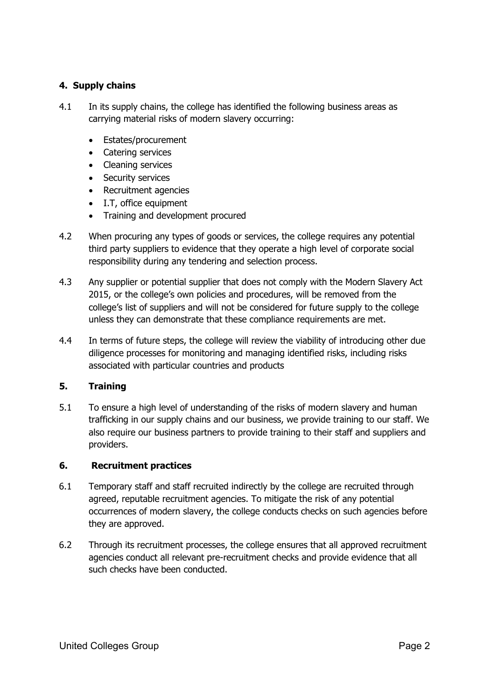## **4. Supply chains**

- 4.1 In its supply chains, the college has identified the following business areas as carrying material risks of modern slavery occurring:
	- Estates/procurement
	- Catering services
	- Cleaning services
	- Security services
	- Recruitment agencies
	- I.T, office equipment
	- Training and development procured
- 4.2 When procuring any types of goods or services, the college requires any potential third party suppliers to evidence that they operate a high level of corporate social responsibility during any tendering and selection process.
- 4.3 Any supplier or potential supplier that does not comply with the Modern Slavery Act 2015, or the college's own policies and procedures, will be removed from the college's list of suppliers and will not be considered for future supply to the college unless they can demonstrate that these compliance requirements are met.
- 4.4 In terms of future steps, the college will review the viability of introducing other due diligence processes for monitoring and managing identified risks, including risks associated with particular countries and products

## **5. Training**

5.1 To ensure a high level of understanding of the risks of modern slavery and human trafficking in our supply chains and our business, we provide training to our staff. We also require our business partners to provide training to their staff and suppliers and providers.

## **6. Recruitment practices**

- 6.1 Temporary staff and staff recruited indirectly by the college are recruited through agreed, reputable recruitment agencies. To mitigate the risk of any potential occurrences of modern slavery, the college conducts checks on such agencies before they are approved.
- 6.2 Through its recruitment processes, the college ensures that all approved recruitment agencies conduct all relevant pre-recruitment checks and provide evidence that all such checks have been conducted.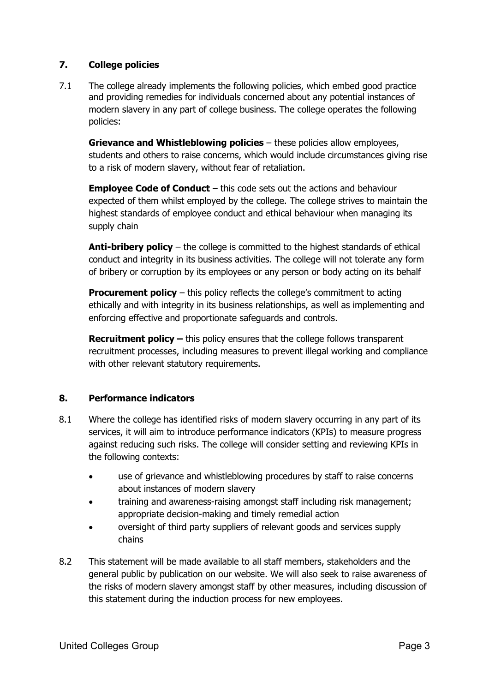## **7. College policies**

7.1 The college already implements the following policies, which embed good practice and providing remedies for individuals concerned about any potential instances of modern slavery in any part of college business. The college operates the following policies:

**Grievance and Whistleblowing policies** – these policies allow employees, students and others to raise concerns, which would include circumstances giving rise to a risk of modern slavery, without fear of retaliation.

**Employee Code of Conduct** – this code sets out the actions and behaviour expected of them whilst employed by the college. The college strives to maintain the highest standards of employee conduct and ethical behaviour when managing its supply chain

**Anti-bribery policy** – the college is committed to the highest standards of ethical conduct and integrity in its business activities. The college will not tolerate any form of bribery or corruption by its employees or any person or body acting on its behalf

**Procurement policy** – this policy reflects the college's commitment to acting ethically and with integrity in its business relationships, as well as implementing and enforcing effective and proportionate safeguards and controls.

**Recruitment policy –** this policy ensures that the college follows transparent recruitment processes, including measures to prevent illegal working and compliance with other relevant statutory requirements.

## **8. Performance indicators**

- 8.1 Where the college has identified risks of modern slavery occurring in any part of its services, it will aim to introduce performance indicators (KPIs) to measure progress against reducing such risks. The college will consider setting and reviewing KPIs in the following contexts:
	- use of grievance and whistleblowing procedures by staff to raise concerns about instances of modern slavery
	- training and awareness-raising amongst staff including risk management; appropriate decision-making and timely remedial action
	- oversight of third party suppliers of relevant goods and services supply chains
- 8.2 This statement will be made available to all staff members, stakeholders and the general public by publication on our website. We will also seek to raise awareness of the risks of modern slavery amongst staff by other measures, including discussion of this statement during the induction process for new employees.